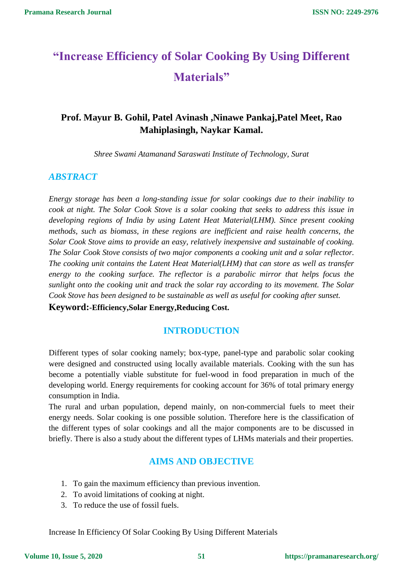# **"Increase Efficiency of Solar Cooking By Using Different Materials"**

# **Prof. Mayur B. Gohil, Patel Avinash ,Ninawe Pankaj,Patel Meet, Rao Mahiplasingh, Naykar Kamal.**

*Shree Swami Atamanand Saraswati Institute of Technology, Surat*

## *ABSTRACT*

*Energy storage has been a long-standing issue for solar cookings due to their inability to cook at night. The Solar Cook Stove is a solar cooking that seeks to address this issue in developing regions of India by using Latent Heat Material(LHM). Since present cooking methods, such as biomass, in these regions are inefficient and raise health concerns, the Solar Cook Stove aims to provide an easy, relatively inexpensive and sustainable of cooking. The Solar Cook Stove consists of two major components a cooking unit and a solar reflector. The cooking unit contains the Latent Heat Material(LHM) that can store as well as transfer energy to the cooking surface. The reflector is a parabolic mirror that helps focus the sunlight onto the cooking unit and track the solar ray according to its movement. The Solar Cook Stove has been designed to be sustainable as well as useful for cooking after sunset.*

**Keyword:-Efficiency,Solar Energy,Reducing Cost.**

## **INTRODUCTION**

Different types of solar cooking namely; box-type, panel-type and parabolic solar cooking were designed and constructed using locally available materials. Cooking with the sun has become a potentially viable substitute for fuel-wood in food preparation in much of the developing world. Energy requirements for cooking account for 36% of total primary energy consumption in India.

The rural and urban population, depend mainly, on non-commercial fuels to meet their energy needs. Solar cooking is one possible solution. Therefore here is the classification of the different types of solar cookings and all the major components are to be discussed in briefly. There is also a study about the different types of LHMs materials and their properties.

## **AIMS AND OBJECTIVE**

- 1. To gain the maximum efficiency than previous invention.
- 2. To avoid limitations of cooking at night.
- 3. To reduce the use of fossil fuels.

Increase In Efficiency Of Solar Cooking By Using Different Materials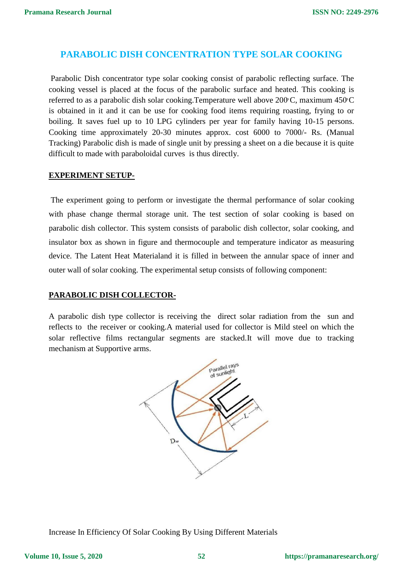## **PARABOLIC DISH CONCENTRATION TYPE SOLAR COOKING**

Parabolic Dish concentrator type solar cooking consist of parabolic reflecting surface. The cooking vessel is placed at the focus of the parabolic surface and heated. This cooking is referred to as a parabolic dish solar cooking.Temperature well above 200°C, maximum 450°C is obtained in it and it can be use for cooking food items requiring roasting, frying to or boiling. It saves fuel up to 10 LPG cylinders per year for family having 10-15 persons. Cooking time approximately 20-30 minutes approx. cost 6000 to 7000/- Rs. (Manual Tracking) Parabolic dish is made of single unit by pressing a sheet on a die because it is quite difficult to made with paraboloidal curves is thus directly.

#### **EXPERIMENT SETUP-**

The experiment going to perform or investigate the thermal performance of solar cooking with phase change thermal storage unit. The test section of solar cooking is based on parabolic dish collector. This system consists of parabolic dish collector, solar cooking, and insulator box as shown in figure and thermocouple and temperature indicator as measuring device. The Latent Heat Materialand it is filled in between the annular space of inner and outer wall of solar cooking. The experimental setup consists of following component:

### **PARABOLIC DISH COLLECTOR-**

A parabolic dish type collector is receiving the direct solar radiation from the sun and reflects to the receiver or cooking.A material used for collector is Mild steel on which the solar reflective films rectangular segments are stacked.It will move due to tracking mechanism at Supportive arms.



Increase In Efficiency Of Solar Cooking By Using Different Materials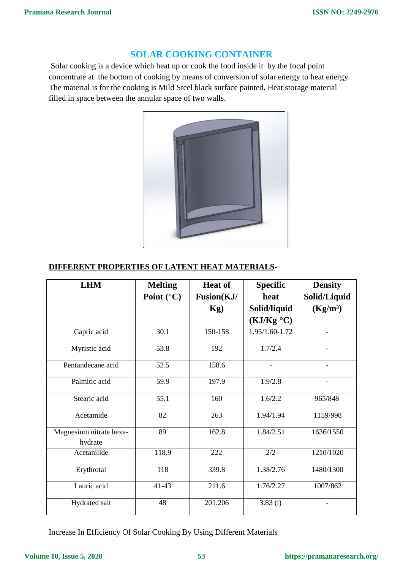# **SOLAR COOKING CONTAINER**

Solar cooking is a device which heat up or cook the food inside it by the focal point concentrate at the bottom of cooking by means of conversion of solar energy to heat energy. The material is for the cooking is Mild Steel black surface painted. Heat storage material filled in space between the annular space of two walls.



## **DIFFERENT PROPERTIES OF LATENT HEAT MATERIALS-**

| <b>LHM</b>                         | <b>Melting</b><br>Point $(^{\circ}C)$ | <b>Heat of</b><br>Fusion(KJ/<br>Kg) | <b>Specific</b><br>heat<br>Solid/liquid<br>(KJ/Kg °C) | <b>Density</b><br>Solid/Liquid<br>(Kg/m <sup>3</sup> ) |
|------------------------------------|---------------------------------------|-------------------------------------|-------------------------------------------------------|--------------------------------------------------------|
| Capric acid                        | 30.1                                  | 150-158                             | 1.95/1.60-1.72                                        |                                                        |
| Myristic acid                      | 53.8                                  | 192                                 | 1.7/2.4                                               | $\overline{\phantom{0}}$                               |
| Pentandecane acid                  | 52.5                                  | 158.6                               |                                                       |                                                        |
| Palmitic acid                      | 59.9                                  | 197.9                               | 1.9/2.8                                               |                                                        |
| Stearic acid                       | 55.1                                  | 160                                 | 1.6/2.2                                               | 965/848                                                |
| Acetamide                          | 82                                    | 263                                 | 1.94/1.94                                             | 1159/998                                               |
| Magnesium nitrate hexa-<br>hydrate | 89                                    | 162.8                               | 1.84/2.51                                             | 1636/1550                                              |
| Acetanilide                        | 118.9                                 | 222                                 | 2/2                                                   | 1210/1020                                              |
| Erythrotal                         | 118                                   | 339.8                               | 1.38/2.76                                             | 1480/1300                                              |
| Lauric acid                        | 41-43                                 | 211.6                               | 1.76/2.27                                             | 1007/862                                               |
| Hydrated salt                      | 48                                    | 201.206                             | 3.83(1)                                               |                                                        |

Increase In Efficiency Of Solar Cooking By Using Different Materials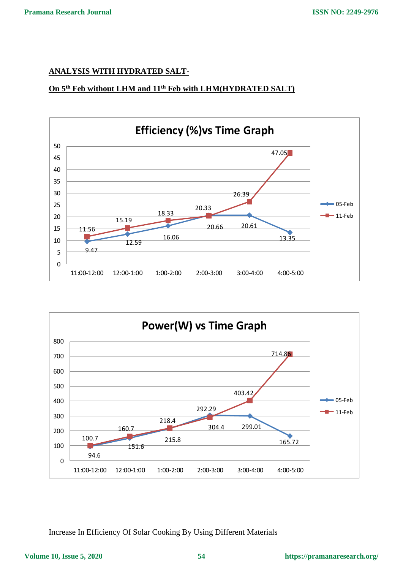## **ANALYSIS WITH HYDRATED SALT-**

# **On 5th Feb without LHM and 11th Feb with LHM(HYDRATED SALT)**





Increase In Efficiency Of Solar Cooking By Using Different Materials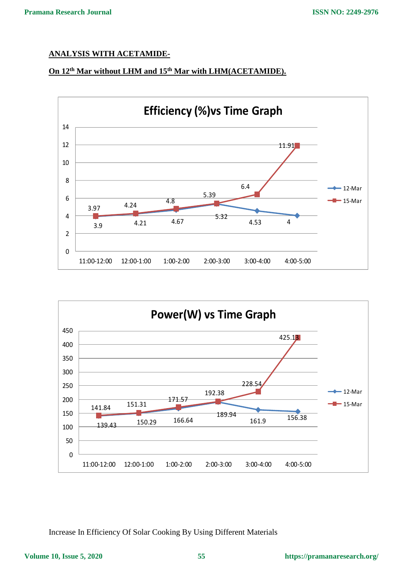## **ANALYSIS WITH ACETAMIDE-**

# **On 12th Mar without LHM and 15th Mar with LHM(ACETAMIDE).**





Increase In Efficiency Of Solar Cooking By Using Different Materials